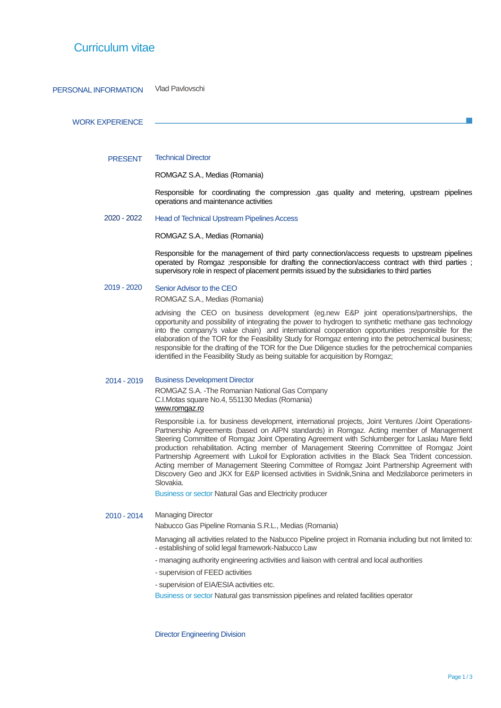## Curriculum vitae

## PERSONAL INFORMATION Vlad Pavlovschi

### WORK EXPERIENCE

#### PRESENT Technical Director

ROMGAZ S.A., Medias (Romania)

Responsible for coordinating the compression ,gas quality and metering, upstream pipelines operations and maintenance activities

 2020 - 2022 Head of Technical Upstream Pipelines Access

ROMGAZ S.A., Medias (Romania)

Responsible for the management of third party connection/access requests to upstream pipelines operated by Romgaz ;responsible for drafting the connection/access contract with third parties ; supervisory role in respect of placement permits issued by the subsidiaries to third parties

#### 2019 - 2020 Senior Advisor to the CEO

ROMGAZ S.A., Medias (Romania)

advising the CEO on business development (eg.new E&P joint operations/partnerships, the opportunity and possibility of integrating the power to hydrogen to synthetic methane gas technology into the company's value chain) and international cooperation opportunities ;responsible for the elaboration of the TOR for the Feasibility Study for Romgaz entering into the petrochemical business; responsible for the drafting of the TOR for the Due Diligence studies for the petrochemical companies identified in the Feasibility Study as being suitable for acquisition by Romgaz;

### 2014 - 2019 Business Development Director

ROMGAZ S.A. -The Romanian National Gas Company C.I.Motas square No.4, 551130 Medias (Romania) [www.romgaz.ro](http://www.romgaz.ro/)

Responsible i.a. for business development, international projects, Joint Ventures /Joint Operations-Partnership Agreements (based on AIPN standards) in Romgaz. Acting member of Management Steering Committee of Romgaz Joint Operating Agreement with Schlumberger for Laslau Mare field production rehabilitation. Acting member of Management Steering Committee of Romgaz Joint Partnership Agreement with Lukoil for Exploration activities in the Black Sea Trident concession. Acting member of Management Steering Committee of Romgaz Joint Partnership Agreement with Discovery Geo and JKX for E&P licensed activities in Svidnik,Snina and Medzilaborce perimeters in Slovakia.

Business or sector Natural Gas and Electricity producer

## 2010 - 2014 Managing Director

Nabucco Gas Pipeline Romania S.R.L., Medias (Romania)

Managing all activities related to the Nabucco Pipeline project in Romania including but not limited to: - establishing of solid legal framework-Nabucco Law

- managing authority engineering activities and liaison with central and local authorities
- supervision of FEED activities
- supervision of EIA/ESIA activities etc.

Business or sector Natural gas transmission pipelines and related facilities operator

Director Engineering Division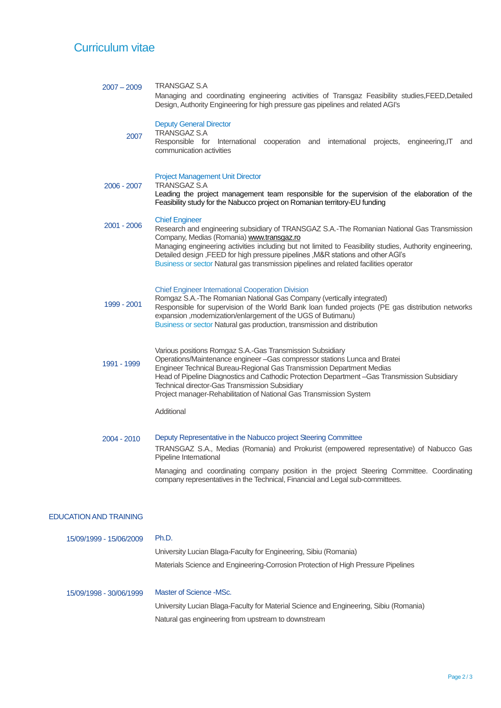## Curriculum vitae

| $2007 - 2009$                 | <b>TRANSGAZ S.A</b><br>Managing and coordinating engineering activities of Transgaz Feasibility studies, FEED, Detailed<br>Design, Authority Engineering for high pressure gas pipelines and related AGI's                                                                                                                                                                                                                                                |  |  |  |  |
|-------------------------------|-----------------------------------------------------------------------------------------------------------------------------------------------------------------------------------------------------------------------------------------------------------------------------------------------------------------------------------------------------------------------------------------------------------------------------------------------------------|--|--|--|--|
| 2007                          | <b>Deputy General Director</b><br><b>TRANSGAZ S.A</b><br>Responsible for International cooperation and international projects, engineering, IT<br>and<br>communication activities                                                                                                                                                                                                                                                                         |  |  |  |  |
| 2006 - 2007                   | <b>Project Management Unit Director</b><br><b>TRANSGAZ S.A</b><br>Leading the project management team responsible for the supervision of the elaboration of the<br>Feasibility study for the Nabucco project on Romanian territory-EU funding                                                                                                                                                                                                             |  |  |  |  |
| 2001 - 2006                   | <b>Chief Engineer</b><br>Research and engineering subsidiary of TRANSGAZ S.A.-The Romanian National Gas Transmission<br>Company, Medias (Romania) www.transgaz.ro<br>Managing engineering activities including but not limited to Feasibility studies, Authority engineering,<br>Detailed design, FEED for high pressure pipelines, M&R stations and other AGI's<br>Business or sector Natural gas transmission pipelines and related facilities operator |  |  |  |  |
| 1999 - 2001                   | <b>Chief Engineer International Cooperation Division</b><br>Romgaz S.A.-The Romanian National Gas Company (vertically integrated)<br>Responsible for supervision of the World Bank loan funded projects (PE gas distribution networks<br>expansion , modernization/enlargement of the UGS of Butimanu)<br>Business or sector Natural gas production, transmission and distribution                                                                        |  |  |  |  |
| 1991 - 1999                   | Various positions Romgaz S.A.-Gas Transmission Subsidiary<br>Operations/Maintenance engineer - Gas compressor stations Lunca and Bratei<br>Engineer Technical Bureau-Regional Gas Transmission Department Medias<br>Head of Pipeline Diagnostics and Cathodic Protection Department -Gas Transmission Subsidiary<br>Technical director-Gas Transmission Subsidiary<br>Project manager-Rehabilitation of National Gas Transmission System                  |  |  |  |  |
|                               | Additional                                                                                                                                                                                                                                                                                                                                                                                                                                                |  |  |  |  |
| 2004 - 2010                   | Deputy Representative in the Nabucco project Steering Committee<br>TRANSGAZ S.A., Medias (Romania) and Prokurist (empowered representative) of Nabucco Gas<br>Pipeline International<br>Managing and coordinating company position in the project Steering Committee. Coordinating<br>company representatives in the Technical, Financial and Legal sub-committees.                                                                                       |  |  |  |  |
| <b>EDUCATION AND TRAINING</b> |                                                                                                                                                                                                                                                                                                                                                                                                                                                           |  |  |  |  |
| 15/09/1999 - 15/06/2009       | Ph.D.<br>University Lucian Blaga-Faculty for Engineering, Sibiu (Romania)<br>Materials Science and Engineering-Corrosion Protection of High Pressure Pipelines                                                                                                                                                                                                                                                                                            |  |  |  |  |
| 15/09/1998 - 30/06/1999       | Master of Science -MSc.                                                                                                                                                                                                                                                                                                                                                                                                                                   |  |  |  |  |

University Lucian Blaga-Faculty for Material Science and Engineering, Sibiu (Romania) Natural gas engineering from upstream to downstream